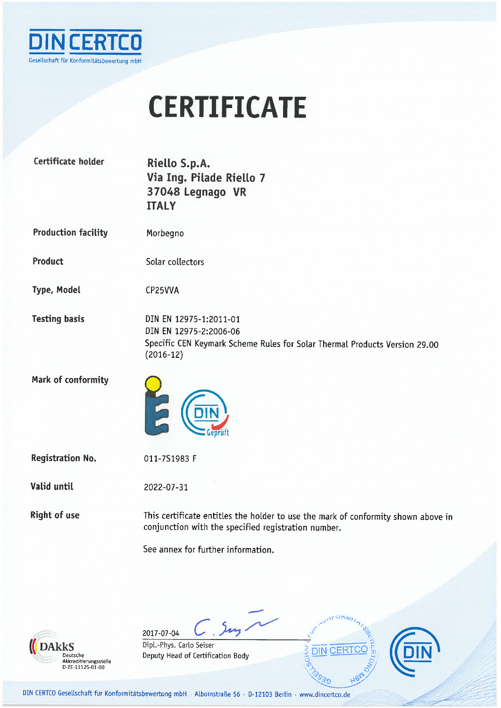

## **CERTIFICATE**

| Certificate holder         | Riello S.p.A.<br>Via Ing. Pilade Riello 7<br>37048 Legnago VR<br><b>ITALY</b>                                                                 |
|----------------------------|-----------------------------------------------------------------------------------------------------------------------------------------------|
| <b>Production facility</b> | Morbegno                                                                                                                                      |
| Product                    | Solar collectors                                                                                                                              |
| <b>Type, Model</b>         | CP25VVA                                                                                                                                       |
| <b>Testing basis</b>       | DIN EN 12975-1:2011-01<br>DIN EN 12975-2:2006-06<br>Specific CEN Keymark Scheme Rules for Solar Thermal Products Version 29.00<br>$(2016-12)$ |
| Mark of conformity         | E                                                                                                                                             |
| <b>Registration No.</b>    | 011-7S1983 F                                                                                                                                  |
| Valid until                | 2022-07-31                                                                                                                                    |
| <b>Right of use</b>        | This certificate entitles the holder to use the mark of conformity shown above in<br>conjunction with the specified registration number.      |
|                            | See annex for further information.                                                                                                            |



 $C, 5<sub>ny</sub>$ 2017-07-04 Dipl.-Phys. Carlo Seiser Deputy Head of Certification Body





DIN CERTCO Gesellschaft für Konformitätsbewertung mbH · Alboinstraße 56 · D-12103 Berlin · www.dincertco.de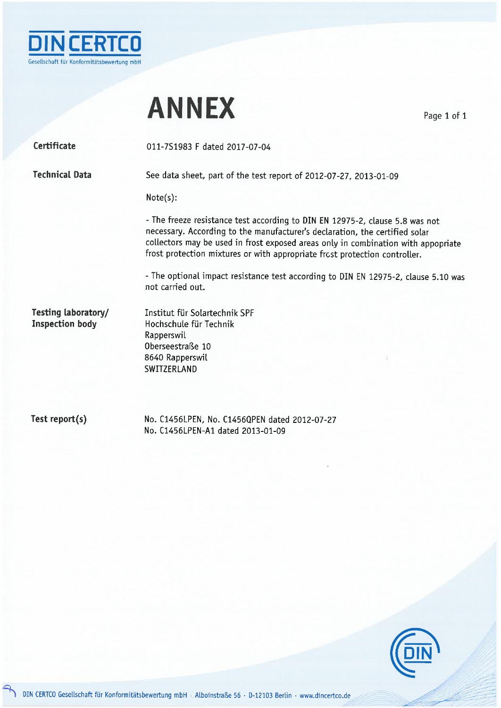

## **ANNEX**

Page 1 of 1

Certificate

011-7S1983 F dated 2017-07-04

**Technical Data** 

See data sheet, part of the test report of 2012-07-27, 2013-01-09

 $Note(s):$ 

- The freeze resistance test according to DIN EN 12975-2, clause 5.8 was not necessary. According to the manufacturer's declaration, the certified solar collectors may be used in frost exposed areas only in combination with appopriate frost protection mixtures or with appropriate frost protection controller.

- The optional impact resistance test according to DIN EN 12975-2, clause 5.10 was not carried out.

Testing laboratory/ **Inspection body** 

Institut für Solartechnik SPF Hochschule für Technik Rapperswil Oberseestraße 10 8640 Rapperswil SWITZERLAND

Test report(s)

No. C1456LPEN, No. C1456QPEN dated 2012-07-27 No. C1456LPEN-A1 dated 2013-01-09

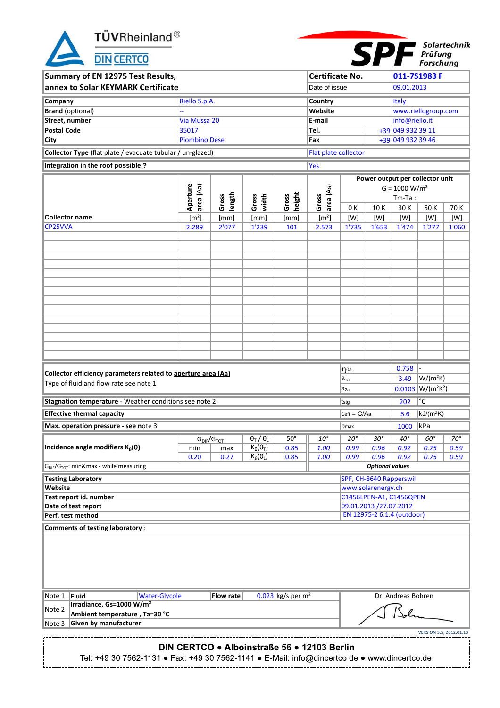$\ensuremath{\mathbf{T}}\xspace\ddot{\mathbf{U}}\mathbf{V}\ensuremath{\mathsf{R}}\xspace$ heinland<br/>®

**DIN CERTCO** 



| Summary of EN 12975 Test Results,                                               |                       |                                 |                                                     |                                 | Certificate No.             |                         |                            |                    | 011-7S1983 F                    |              |
|---------------------------------------------------------------------------------|-----------------------|---------------------------------|-----------------------------------------------------|---------------------------------|-----------------------------|-------------------------|----------------------------|--------------------|---------------------------------|--------------|
| annex to Solar KEYMARK Certificate                                              |                       |                                 |                                                     |                                 | Date of issue               |                         |                            | 09.01.2013         |                                 |              |
| Company                                                                         | Riello S.p.A.         |                                 |                                                     |                                 | <b>Country</b>              |                         |                            | <b>Italy</b>       |                                 |              |
| <b>Brand</b> (optional)                                                         |                       |                                 |                                                     |                                 | Website                     |                         |                            |                    | www.riellogroup.com             |              |
| Street, number                                                                  | Via Mussa 20          |                                 |                                                     |                                 | E-mail                      |                         |                            | info@riello.it     |                                 |              |
| <b>Postal Code</b>                                                              | 35017                 |                                 |                                                     |                                 | Tel.                        |                         |                            | +39 049 932 39 11  |                                 |              |
| <b>City</b>                                                                     | <b>Piombino Dese</b>  |                                 |                                                     |                                 | Fax                         |                         |                            | +39 049 932 39 46  |                                 |              |
| Collector Type (flat plate / evacuate tubular / un-glazed)                      |                       |                                 |                                                     |                                 | <b>Flat plate collector</b> |                         |                            |                    |                                 |              |
| Integration in the roof possible ?                                              |                       |                                 |                                                     |                                 | <b>Yes</b>                  |                         |                            |                    |                                 |              |
|                                                                                 |                       |                                 |                                                     |                                 |                             |                         |                            |                    | Power output per collector unit |              |
|                                                                                 |                       |                                 |                                                     |                                 |                             |                         |                            | $G = 1000 W/m2$    |                                 |              |
|                                                                                 | Aperture<br>area (Aa) | length<br>Gross                 | width<br>Gross                                      | height<br>Gross                 | area (AG)<br>Gross          |                         |                            | $Tm-Ta$ :          |                                 |              |
| <b>Collector name</b>                                                           | [m <sup>2</sup> ]     | [mm]                            | [mm]                                                | [mm]                            | [m <sup>2</sup> ]           | 0 K<br>[W]              | 10K<br>[W]                 | 30K<br>[W]         | 50K<br>[W]                      | 70 K<br>[W]  |
| CP25VVA                                                                         | 2.289                 | 2'077                           | 1'239                                               | 101                             | 2.573                       | 1'735                   | 1'653                      | 1'474              | 1'277                           | 1'060        |
|                                                                                 |                       |                                 |                                                     |                                 |                             |                         |                            |                    |                                 |              |
|                                                                                 |                       |                                 |                                                     |                                 |                             |                         |                            |                    |                                 |              |
|                                                                                 |                       |                                 |                                                     |                                 |                             |                         |                            |                    |                                 |              |
|                                                                                 |                       |                                 |                                                     |                                 |                             |                         |                            |                    |                                 |              |
|                                                                                 |                       |                                 |                                                     |                                 |                             |                         |                            |                    |                                 |              |
|                                                                                 |                       |                                 |                                                     |                                 |                             |                         |                            |                    |                                 |              |
|                                                                                 |                       |                                 |                                                     |                                 |                             |                         |                            |                    |                                 |              |
|                                                                                 |                       |                                 |                                                     |                                 |                             |                         |                            |                    |                                 |              |
|                                                                                 |                       |                                 |                                                     |                                 |                             |                         |                            |                    |                                 |              |
|                                                                                 |                       |                                 |                                                     |                                 |                             |                         |                            |                    |                                 |              |
|                                                                                 |                       |                                 |                                                     |                                 |                             |                         |                            |                    |                                 |              |
|                                                                                 |                       |                                 |                                                     |                                 |                             |                         |                            |                    |                                 |              |
| Collector efficiency parameters related to aperture area (Aa)                   |                       |                                 |                                                     |                                 |                             | $\eta$ 0a               |                            | 0.758              |                                 |              |
| Type of fluid and flow rate see note 1                                          |                       |                                 |                                                     |                                 |                             | $a_{1a}$                |                            | 3.49               | $W/(m^2K)$                      |              |
|                                                                                 |                       |                                 |                                                     |                                 |                             | $a_{2a}$                |                            |                    | $0.0103$ $W/(m^2K^2)$           |              |
| Stagnation temperature - Weather conditions see note 2                          |                       |                                 |                                                     |                                 |                             | tstg                    |                            | 202                | $\overline{\mathsf{C}}$         |              |
| <b>Effective thermal capacity</b>                                               |                       |                                 |                                                     |                                 |                             | $Ceff = C/Aa$           |                            | 5.6                | $kJ/(m^2K)$                     |              |
| Max. operation pressure - see note 3                                            |                       |                                 |                                                     |                                 |                             | pmax                    |                            | 1000               | ∣kPa                            |              |
|                                                                                 |                       | $G_{\text{DIF}}/G_{\text{TOT}}$ | $\overline{\theta_{\text{T}}$ / $\theta_{\text{L}}$ | $50^\circ$                      | $10^{\circ}$                | $20^{\circ}$            | $30^\circ$                 | $40^{\circ}$       | $60^\circ$                      | $70^\circ$   |
| Incidence angle modifiers $K_{\theta}(\theta)$                                  | min<br>0.20           | max<br>0.27                     | $K_{\theta}(\theta_{T})$<br>$K_{\theta}(\theta_L)$  | 0.85<br>0.85                    | 1.00<br>1.00                | 0.99<br>0.99            | 0.96<br>0.96               | 0.92<br>0.92       | 0.75<br>0.75                    | 0.59<br>0.59 |
| G <sub>DIF</sub> /G <sub>TOT</sub> : min&max - while measuring                  |                       |                                 |                                                     |                                 |                             |                         | <b>Optional values</b>     |                    |                                 |              |
| <b>Testing Laboratory</b>                                                       |                       |                                 |                                                     |                                 |                             | SPF, CH-8640 Rapperswil |                            |                    |                                 |              |
| Website                                                                         |                       |                                 |                                                     |                                 |                             | www.solarenergy.ch      |                            |                    |                                 |              |
| Test report id. number                                                          |                       |                                 |                                                     |                                 |                             | C1456LPEN-A1, C1456QPEN |                            |                    |                                 |              |
| Date of test report<br>Perf. test method                                        |                       |                                 |                                                     |                                 |                             | 09.01.2013 /27.07.2012  | EN 12975-2 6.1.4 (outdoor) |                    |                                 |              |
|                                                                                 |                       |                                 |                                                     |                                 |                             |                         |                            |                    |                                 |              |
| <b>Comments of testing laboratory:</b>                                          |                       |                                 |                                                     |                                 |                             |                         |                            |                    |                                 |              |
|                                                                                 |                       |                                 |                                                     |                                 |                             |                         |                            |                    |                                 |              |
|                                                                                 |                       |                                 |                                                     |                                 |                             |                         |                            |                    |                                 |              |
|                                                                                 |                       |                                 |                                                     |                                 |                             |                         |                            |                    |                                 |              |
|                                                                                 |                       |                                 |                                                     |                                 |                             |                         |                            |                    |                                 |              |
|                                                                                 |                       |                                 |                                                     | $0.023$ kg/s per m <sup>2</sup> |                             |                         |                            | Dr. Andreas Bohren |                                 |              |
| Fluid<br><b>Water-Glycole</b><br>Note 1<br>Irradiance, Gs=1000 W/m <sup>2</sup> |                       | Flow rate                       |                                                     |                                 |                             |                         |                            |                    |                                 |              |
| Note 2<br>Ambient temperature, Ta=30 °C                                         |                       |                                 |                                                     |                                 |                             |                         |                            |                    |                                 |              |
| <b>Given by manufacturer</b><br>Note 3                                          |                       |                                 |                                                     |                                 |                             |                         |                            |                    |                                 |              |
|                                                                                 |                       |                                 |                                                     |                                 |                             |                         |                            |                    | VERSION 3.5, 2012.01.13         |              |

### DIN CERTCO . Alboinstraße 56 . 12103 Berlin

Tel: +49 30 7562-1131 • Fax: +49 30 7562-1141 • E-Mail: info@dincertco.de • www.dincertco.de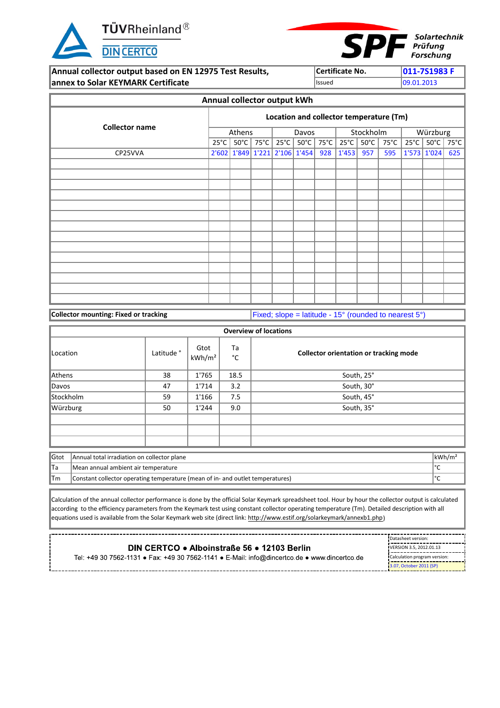

r.



**Annual collector output based on EN 12975 Test Results, Certificate No. 611-7S1983 F annex to Solar KEYMARK Certificate** Integration of Issued Issued 199.01.2013

|                       |                |                |      | Annual collector output kWh |                               |      |                |                |                                         |                |                |                |
|-----------------------|----------------|----------------|------|-----------------------------|-------------------------------|------|----------------|----------------|-----------------------------------------|----------------|----------------|----------------|
| <b>Collector name</b> |                |                |      |                             |                               |      |                |                | Location and collector temperature (Tm) |                |                |                |
|                       |                | Athens         |      |                             | Davos                         |      |                | Stockholm      |                                         |                | Würzburg       |                |
|                       | $25^{\circ}$ C | $50^{\circ}$ C | 75°C | $25^{\circ}$ C              | $50^{\circ}$ C                | 75°C | $25^{\circ}$ C | $50^{\circ}$ C | $75^{\circ}$ C                          | $25^{\circ}$ C | $50^{\circ}$ C | $75^{\circ}$ C |
| CP25VVA               |                |                |      |                             | 2'602 1'849 1'221 2'106 1'454 | 928  | 1'453          | 957            | 595                                     |                | 1'573 1'024    | 625            |
|                       |                |                |      |                             |                               |      |                |                |                                         |                |                |                |
|                       |                |                |      |                             |                               |      |                |                |                                         |                |                |                |
|                       |                |                |      |                             |                               |      |                |                |                                         |                |                |                |
|                       |                |                |      |                             |                               |      |                |                |                                         |                |                |                |
|                       |                |                |      |                             |                               |      |                |                |                                         |                |                |                |
|                       |                |                |      |                             |                               |      |                |                |                                         |                |                |                |
|                       |                |                |      |                             |                               |      |                |                |                                         |                |                |                |
|                       |                |                |      |                             |                               |      |                |                |                                         |                |                |                |
|                       |                |                |      |                             |                               |      |                |                |                                         |                |                |                |
|                       |                |                |      |                             |                               |      |                |                |                                         |                |                |                |
|                       |                |                |      |                             |                               |      |                |                |                                         |                |                |                |
|                       |                |                |      |                             |                               |      |                |                |                                         |                |                |                |
|                       |                |                |      |                             |                               |      |                |                |                                         |                |                |                |
|                       |                |                |      |                             |                               |      |                |                |                                         |                |                |                |

**Collector mounting: Fixed or tracking** Fixed Fixed; slope = latitude - 15° (rounded to nearest 5°)

|           |                                                                                |                       |                            |          | <b>Overview of locations</b>                  |                    |
|-----------|--------------------------------------------------------------------------------|-----------------------|----------------------------|----------|-----------------------------------------------|--------------------|
| Location  |                                                                                | Latitude <sup>°</sup> | Gtot<br>kWh/m <sup>2</sup> | Ta<br>°C | <b>Collector orientation or tracking mode</b> |                    |
| Athens    |                                                                                | 38                    | 1'765                      | 18.5     | South, 25°                                    |                    |
| Davos     |                                                                                | 47                    | 1'714                      | 3.2      | South, 30°                                    |                    |
| Stockholm |                                                                                | 59                    | 1'166                      | 7.5      | South, 45°                                    |                    |
| Würzburg  |                                                                                | 50                    | 1'244                      | 9.0      | South, 35°                                    |                    |
|           |                                                                                |                       |                            |          |                                               |                    |
|           |                                                                                |                       |                            |          |                                               |                    |
|           |                                                                                |                       |                            |          |                                               |                    |
| Gtot      | Annual total irradiation on collector plane                                    |                       |                            |          |                                               | kWh/m <sup>2</sup> |
| lTa       | Mean annual ambient air temperature                                            |                       |                            |          |                                               | ∣°C                |
| ∣Tm       | Constant collector operating temperature (mean of in- and outlet temperatures) |                       |                            |          |                                               | l℃                 |

Calculation of the annual collector performance is done by the official Solar Keymark spreadsheet tool. Hour by hour the collector output is calculated according to the efficiency parameters from the Keymark test using constant collector operating temperature (Tm). Detailed description with all equations used is available from the Solar Keymark web site (direct link: http://www.estif.org/solarkeymark/annexb1.php)

|                                                                                              | Datasheet version:           |
|----------------------------------------------------------------------------------------------|------------------------------|
| DIN CERTCO • Alboinstraße 56 • 12103 Berlin                                                  | VERSION 3.5. 2012.01.13      |
| Tel: +49 30 7562-1131 • Fax: +49 30 7562-1141 • E-Mail: info@dincertco.de • www.dincertco.de | Calculation program version: |
|                                                                                              | 3.07, October 2011 (SP)      |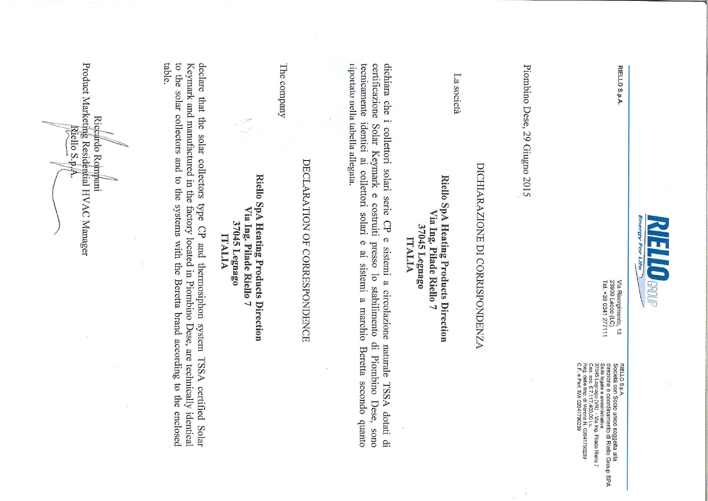

RIELLO S.p.A.

Via Risorgimento, 13<br>23900 Lecco (LC)<br>Tel. +39 0341 277111

RIELLO S.p.A.<br>diSocietà con Socio unico soggetta alla<br>dise egale e amministrativa<br>Sade legale e amministrativa<br>cor e legale e amministrativa<br>car dele In 2.1 di Veona N. 02641790239<br>C.F. e Patt, IVA 02641790239<br>C.F. e Patt,

Piombino Dese, 29 Giugno 2015

# DICHIARAZIONE DI CORRISPONDENZA

La società

# Riello SpA Heating Products Direction Via Ing. Pilade Riello 7 37045 Legnago ITALIA

riportato nella tabella allegata. tecnicamente identici ai collettori solari certificazione dichiara che i collettori solari serie CP e sistemi a circolazione Solar Keymark e costruiti presso lo stabilimento di Piombino Dese, sono  $\sigma$ ai sistemi a marchio Beretta secondo quanto naturale TSSA dotati di

# DECLARATION OF CORRESPONDENCE

The company

# Riello SpA Heating Products Direction Via Ing. Pilade Riello 7 37045 Legnago **ITALIA**

table. to the solar collectors and to the systems with the Beretta brand according to the enclosed Keymark and manufactured in the factory located in Piombino Dese, are technically identical declare that the solar collectors type CP and thermosiphon system TSSA certified Solar

Product Marketing Residential HVAC Manager Riccardo Rompani Riello S.p